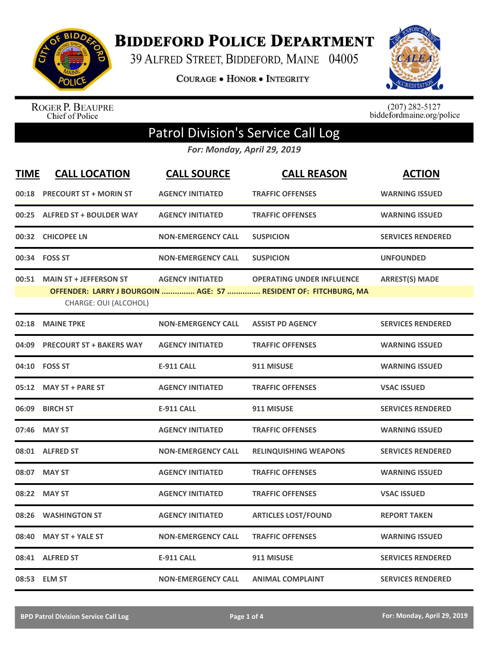

**BIDDEFORD POLICE DEPARTMENT** 

39 ALFRED STREET, BIDDEFORD, MAINE 04005

**COURAGE . HONOR . INTEGRITY** 



ROGER P. BEAUPRE<br>Chief of Police

 $(207)$  282-5127<br>biddefordmaine.org/police

## Patrol Division's Service Call Log

*For: Monday, April 29, 2019*

| <b>TIME</b> | <b>CALL LOCATION</b>                                   | <b>CALL SOURCE</b>        | <b>CALL REASON</b>                                                                                  | <b>ACTION</b>            |
|-------------|--------------------------------------------------------|---------------------------|-----------------------------------------------------------------------------------------------------|--------------------------|
| 00:18       | <b>PRECOURT ST + MORIN ST</b>                          | <b>AGENCY INITIATED</b>   | <b>TRAFFIC OFFENSES</b>                                                                             | <b>WARNING ISSUED</b>    |
| 00:25       | <b>ALFRED ST + BOULDER WAY</b>                         | <b>AGENCY INITIATED</b>   | <b>TRAFFIC OFFENSES</b>                                                                             | <b>WARNING ISSUED</b>    |
|             | 00:32 CHICOPEE LN                                      | <b>NON-EMERGENCY CALL</b> | <b>SUSPICION</b>                                                                                    | <b>SERVICES RENDERED</b> |
|             | 00:34 FOSS ST                                          | <b>NON-EMERGENCY CALL</b> | <b>SUSPICION</b>                                                                                    | <b>UNFOUNDED</b>         |
| 00:51       | <b>MAIN ST + JEFFERSON ST</b><br>CHARGE: OUI (ALCOHOL) | <b>AGENCY INITIATED</b>   | <b>OPERATING UNDER INFLUENCE</b><br>OFFENDER: LARRY J BOURGOIN  AGE: 57  RESIDENT OF: FITCHBURG, MA | <b>ARREST(S) MADE</b>    |
| 02:18       | <b>MAINE TPKE</b>                                      | <b>NON-EMERGENCY CALL</b> | <b>ASSIST PD AGENCY</b>                                                                             | <b>SERVICES RENDERED</b> |
| 04:09       | <b>PRECOURT ST + BAKERS WAY</b>                        | <b>AGENCY INITIATED</b>   | <b>TRAFFIC OFFENSES</b>                                                                             | <b>WARNING ISSUED</b>    |
|             | 04:10 FOSS ST                                          | <b>E-911 CALL</b>         | 911 MISUSE                                                                                          | <b>WARNING ISSUED</b>    |
| 05:12       | <b>MAY ST + PARE ST</b>                                | <b>AGENCY INITIATED</b>   | <b>TRAFFIC OFFENSES</b>                                                                             | <b>VSAC ISSUED</b>       |
| 06:09       | <b>BIRCH ST</b>                                        | <b>E-911 CALL</b>         | 911 MISUSE                                                                                          | <b>SERVICES RENDERED</b> |
| 07:46       | <b>MAY ST</b>                                          | <b>AGENCY INITIATED</b>   | <b>TRAFFIC OFFENSES</b>                                                                             | <b>WARNING ISSUED</b>    |
|             | 08:01 ALFRED ST                                        | <b>NON-EMERGENCY CALL</b> | <b>RELINQUISHING WEAPONS</b>                                                                        | <b>SERVICES RENDERED</b> |
|             | 08:07 MAY ST                                           | <b>AGENCY INITIATED</b>   | <b>TRAFFIC OFFENSES</b>                                                                             | <b>WARNING ISSUED</b>    |
| 08:22       | <b>MAY ST</b>                                          | <b>AGENCY INITIATED</b>   | <b>TRAFFIC OFFENSES</b>                                                                             | <b>VSAC ISSUED</b>       |
| 08:26       | <b>WASHINGTON ST</b>                                   | <b>AGENCY INITIATED</b>   | <b>ARTICLES LOST/FOUND</b>                                                                          | <b>REPORT TAKEN</b>      |
| 08:40       | <b>MAY ST + YALE ST</b>                                | <b>NON-EMERGENCY CALL</b> | <b>TRAFFIC OFFENSES</b>                                                                             | <b>WARNING ISSUED</b>    |
|             | 08:41 ALFRED ST                                        | <b>E-911 CALL</b>         | 911 MISUSE                                                                                          | <b>SERVICES RENDERED</b> |
|             | 08:53 ELM ST                                           | <b>NON-EMERGENCY CALL</b> | <b>ANIMAL COMPLAINT</b>                                                                             | <b>SERVICES RENDERED</b> |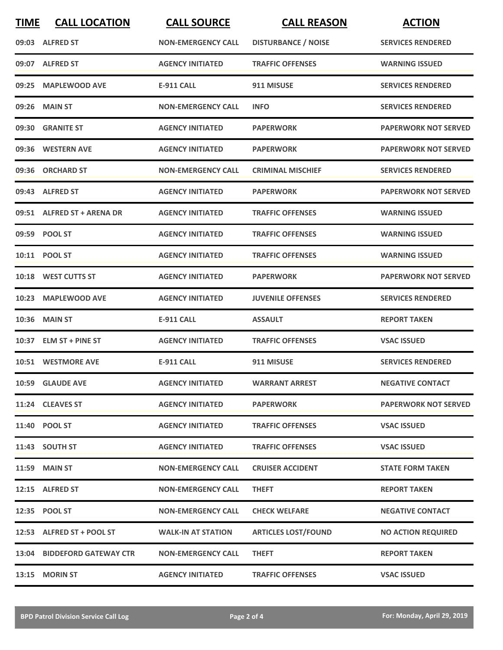| <b>TIME</b> | <b>CALL LOCATION</b>        | <b>CALL SOURCE</b>        | <b>CALL REASON</b>         | <b>ACTION</b>               |
|-------------|-----------------------------|---------------------------|----------------------------|-----------------------------|
|             | 09:03 ALFRED ST             | <b>NON-EMERGENCY CALL</b> | <b>DISTURBANCE / NOISE</b> | <b>SERVICES RENDERED</b>    |
|             | 09:07 ALFRED ST             | <b>AGENCY INITIATED</b>   | <b>TRAFFIC OFFENSES</b>    | <b>WARNING ISSUED</b>       |
| 09:25       | <b>MAPLEWOOD AVE</b>        | <b>E-911 CALL</b>         | 911 MISUSE                 | <b>SERVICES RENDERED</b>    |
|             | 09:26 MAIN ST               | <b>NON-EMERGENCY CALL</b> | <b>INFO</b>                | <b>SERVICES RENDERED</b>    |
|             | 09:30 GRANITE ST            | <b>AGENCY INITIATED</b>   | <b>PAPERWORK</b>           | <b>PAPERWORK NOT SERVED</b> |
|             | 09:36 WESTERN AVE           | <b>AGENCY INITIATED</b>   | <b>PAPERWORK</b>           | <b>PAPERWORK NOT SERVED</b> |
|             | 09:36 ORCHARD ST            | <b>NON-EMERGENCY CALL</b> | <b>CRIMINAL MISCHIEF</b>   | <b>SERVICES RENDERED</b>    |
|             | 09:43 ALFRED ST             | <b>AGENCY INITIATED</b>   | <b>PAPERWORK</b>           | <b>PAPERWORK NOT SERVED</b> |
|             | 09:51 ALFRED ST + ARENA DR  | <b>AGENCY INITIATED</b>   | <b>TRAFFIC OFFENSES</b>    | <b>WARNING ISSUED</b>       |
|             | 09:59 POOL ST               | <b>AGENCY INITIATED</b>   | <b>TRAFFIC OFFENSES</b>    | <b>WARNING ISSUED</b>       |
|             | 10:11 POOL ST               | <b>AGENCY INITIATED</b>   | <b>TRAFFIC OFFENSES</b>    | <b>WARNING ISSUED</b>       |
|             | 10:18 WEST CUTTS ST         | <b>AGENCY INITIATED</b>   | <b>PAPERWORK</b>           | <b>PAPERWORK NOT SERVED</b> |
| 10:23       | <b>MAPLEWOOD AVE</b>        | <b>AGENCY INITIATED</b>   | <b>JUVENILE OFFENSES</b>   | <b>SERVICES RENDERED</b>    |
| 10:36       | <b>MAIN ST</b>              | <b>E-911 CALL</b>         | <b>ASSAULT</b>             | <b>REPORT TAKEN</b>         |
|             | 10:37 ELM ST + PINE ST      | <b>AGENCY INITIATED</b>   | <b>TRAFFIC OFFENSES</b>    | <b>VSAC ISSUED</b>          |
|             | 10:51 WESTMORE AVE          | <b>E-911 CALL</b>         | 911 MISUSE                 | <b>SERVICES RENDERED</b>    |
|             | 10:59 GLAUDE AVE            | <b>AGENCY INITIATED</b>   | <b>WARRANT ARREST</b>      | <b>NEGATIVE CONTACT</b>     |
|             | 11:24 CLEAVES ST            | <b>AGENCY INITIATED</b>   | <b>PAPERWORK</b>           | <b>PAPERWORK NOT SERVED</b> |
|             | 11:40 POOL ST               | <b>AGENCY INITIATED</b>   | <b>TRAFFIC OFFENSES</b>    | <b>VSAC ISSUED</b>          |
|             | 11:43 SOUTH ST              | <b>AGENCY INITIATED</b>   | <b>TRAFFIC OFFENSES</b>    | <b>VSAC ISSUED</b>          |
|             | <b>11:59 MAIN ST</b>        | <b>NON-EMERGENCY CALL</b> | <b>CRUISER ACCIDENT</b>    | <b>STATE FORM TAKEN</b>     |
|             | 12:15 ALFRED ST             | <b>NON-EMERGENCY CALL</b> | <b>THEFT</b>               | <b>REPORT TAKEN</b>         |
|             | 12:35 POOL ST               | <b>NON-EMERGENCY CALL</b> | <b>CHECK WELFARE</b>       | <b>NEGATIVE CONTACT</b>     |
|             | 12:53 ALFRED ST + POOL ST   | <b>WALK-IN AT STATION</b> | <b>ARTICLES LOST/FOUND</b> | <b>NO ACTION REQUIRED</b>   |
|             | 13:04 BIDDEFORD GATEWAY CTR | <b>NON-EMERGENCY CALL</b> | <b>THEFT</b>               | <b>REPORT TAKEN</b>         |
| 13:15       | <b>MORIN ST</b>             | <b>AGENCY INITIATED</b>   | <b>TRAFFIC OFFENSES</b>    | <b>VSAC ISSUED</b>          |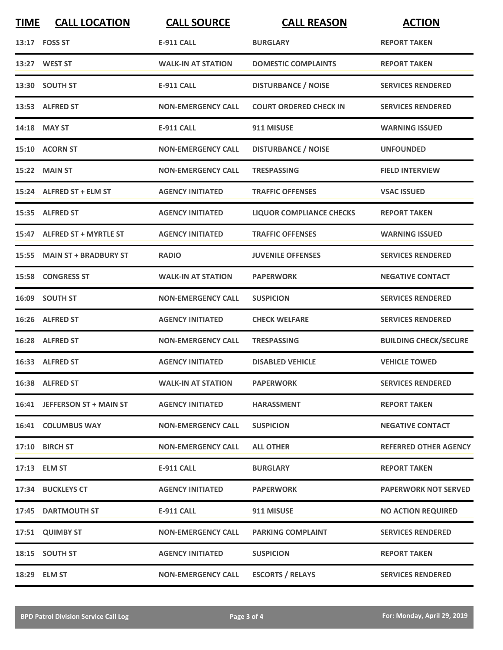| <b>TIME</b> | <b>CALL LOCATION</b>         | <b>CALL SOURCE</b>        | <b>CALL REASON</b>              | <b>ACTION</b>                |
|-------------|------------------------------|---------------------------|---------------------------------|------------------------------|
|             | 13:17 FOSS ST                | <b>E-911 CALL</b>         | <b>BURGLARY</b>                 | <b>REPORT TAKEN</b>          |
|             | 13:27 WEST ST                | <b>WALK-IN AT STATION</b> | <b>DOMESTIC COMPLAINTS</b>      | <b>REPORT TAKEN</b>          |
|             | 13:30 SOUTH ST               | <b>E-911 CALL</b>         | <b>DISTURBANCE / NOISE</b>      | <b>SERVICES RENDERED</b>     |
|             | 13:53 ALFRED ST              | <b>NON-EMERGENCY CALL</b> | <b>COURT ORDERED CHECK IN</b>   | <b>SERVICES RENDERED</b>     |
|             | 14:18 MAY ST                 | <b>E-911 CALL</b>         | 911 MISUSE                      | <b>WARNING ISSUED</b>        |
|             | 15:10 ACORN ST               | <b>NON-EMERGENCY CALL</b> | <b>DISTURBANCE / NOISE</b>      | <b>UNFOUNDED</b>             |
|             | 15:22 MAIN ST                | <b>NON-EMERGENCY CALL</b> | <b>TRESPASSING</b>              | <b>FIELD INTERVIEW</b>       |
|             | 15:24 ALFRED ST + ELM ST     | <b>AGENCY INITIATED</b>   | <b>TRAFFIC OFFENSES</b>         | <b>VSAC ISSUED</b>           |
|             | 15:35 ALFRED ST              | <b>AGENCY INITIATED</b>   | <b>LIQUOR COMPLIANCE CHECKS</b> | <b>REPORT TAKEN</b>          |
|             | 15:47 ALFRED ST + MYRTLE ST  | <b>AGENCY INITIATED</b>   | <b>TRAFFIC OFFENSES</b>         | <b>WARNING ISSUED</b>        |
|             | 15:55 MAIN ST + BRADBURY ST  | <b>RADIO</b>              | <b>JUVENILE OFFENSES</b>        | <b>SERVICES RENDERED</b>     |
|             | <b>15:58 CONGRESS ST</b>     | <b>WALK-IN AT STATION</b> | <b>PAPERWORK</b>                | <b>NEGATIVE CONTACT</b>      |
|             | 16:09 SOUTH ST               | <b>NON-EMERGENCY CALL</b> | <b>SUSPICION</b>                | <b>SERVICES RENDERED</b>     |
|             | 16:26 ALFRED ST              | <b>AGENCY INITIATED</b>   | <b>CHECK WELFARE</b>            | <b>SERVICES RENDERED</b>     |
|             | 16:28 ALFRED ST              | <b>NON-EMERGENCY CALL</b> | <b>TRESPASSING</b>              | <b>BUILDING CHECK/SECURE</b> |
|             | 16:33 ALFRED ST              | <b>AGENCY INITIATED</b>   | <b>DISABLED VEHICLE</b>         | <b>VEHICLE TOWED</b>         |
|             | 16:38 ALFRED ST              | <b>WALK-IN AT STATION</b> | <b>PAPERWORK</b>                | <b>SERVICES RENDERED</b>     |
|             | 16:41 JEFFERSON ST + MAIN ST | <b>AGENCY INITIATED</b>   | <b>HARASSMENT</b>               | <b>REPORT TAKEN</b>          |
|             | <b>16:41 COLUMBUS WAY</b>    | <b>NON-EMERGENCY CALL</b> | <b>SUSPICION</b>                | <b>NEGATIVE CONTACT</b>      |
|             | 17:10 BIRCH ST               | <b>NON-EMERGENCY CALL</b> | <b>ALL OTHER</b>                | <b>REFERRED OTHER AGENCY</b> |
|             | 17:13 ELM ST                 | <b>E-911 CALL</b>         | <b>BURGLARY</b>                 | <b>REPORT TAKEN</b>          |
|             | 17:34 BUCKLEYS CT            | <b>AGENCY INITIATED</b>   | PAPERWORK                       | <b>PAPERWORK NOT SERVED</b>  |
|             | 17:45 DARTMOUTH ST           | <b>E-911 CALL</b>         | 911 MISUSE                      | <b>NO ACTION REQUIRED</b>    |
|             | 17:51 QUIMBY ST              | <b>NON-EMERGENCY CALL</b> | <b>PARKING COMPLAINT</b>        | <b>SERVICES RENDERED</b>     |
|             | 18:15 SOUTH ST               | <b>AGENCY INITIATED</b>   | <b>SUSPICION</b>                | <b>REPORT TAKEN</b>          |
|             | 18:29 ELM ST                 | <b>NON-EMERGENCY CALL</b> | <b>ESCORTS / RELAYS</b>         | <b>SERVICES RENDERED</b>     |